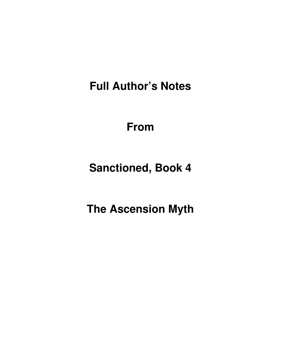**Full Author's Notes** 

**From**

**Sanctioned, Book 4** 

**The Ascension Myth**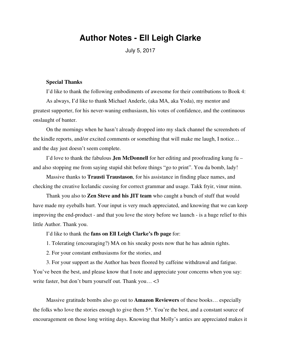# **Author Notes - Ell Leigh Clarke**

July 5, 2017

#### **Special Thanks**

I'd like to thank the following embodiments of awesome for their contributions to Book 4: As always, I'd like to thank Michael Anderle, (aka MA, aka Yoda), my mentor and greatest supporter, for his never-waning enthusiasm, his votes of confidence, and the continuous onslaught of banter.

On the mornings when he hasn't already dropped into my slack channel the screenshots of the kindle reports, and/or excited comments or something that will make me laugh, I notice… and the day just doesn't seem complete.

I'd love to thank the fabulous **Jen McDonnell** for her editing and proofreading kung fu – and also stopping me from saying stupid shit before things "go to print". You da bomb, lady!

Massive thanks to **Trausti Traustason**, for his assistance in finding place names, and checking the creative Icelandic cussing for correct grammar and usage. Takk fryir, vinur minn.

Thank you also to **Zen Steve and his JIT team** who caught a bunch of stuff that would have made my eyeballs hurt. Your input is very much appreciated, and knowing that we can keep improving the end-product - and that you love the story before we launch - is a huge relief to this little Author. Thank you.

I'd like to thank the **fans on Ell Leigh Clarke's fb page** for:

1. Tolerating (encouraging?) MA on his sneaky posts now that he has admin rights.

2. For your constant enthusiasms for the stories, and

3. For your support as the Author has been floored by caffeine withdrawal and fatigue. You've been the best, and please know that I note and appreciate your concerns when you say: write faster, but don't burn yourself out. Thank you… <3

Massive gratitude bombs also go out to **Amazon Reviewers** of these books… especially the folks who love the stories enough to give them 5\*. You're the best, and a constant source of encouragement on those long writing days. Knowing that Molly's antics are appreciated makes it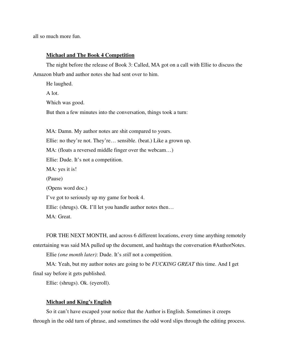all so much more fun.

#### **Michael and The Book 4 Competition**

The night before the release of Book 3: Called, MA got on a call with Ellie to discuss the Amazon blurb and author notes she had sent over to him.

He laughed. A lot. Which was good. But then a few minutes into the conversation, things took a turn: MA: Damn. My author notes are shit compared to yours. Ellie: no they're not. They're… sensible. (beat.) Like a grown up. MA: (floats a reversed middle finger over the webcam…) Ellie: Dude. It's not a competition. MA: yes it is!

(Pause) (Opens word doc.) I've got to seriously up my game for book 4. Ellie: (shrugs). Ok. I'll let you handle author notes then… MA: Great.

FOR THE NEXT MONTH, and across 6 different locations, every time anything remotely entertaining was said MA pulled up the document, and hashtags the conversation #AuthorNotes.

Ellie *(one month later)*: Dude. It's *still* not a competition.

MA: Yeah, but my author notes are going to be *FUCKING GREAT* this time. And I get final say before it gets published.

Ellie: (shrugs). Ok. (eyeroll).

#### **Michael and King's English**

So it can't have escaped your notice that the Author is English. Sometimes it creeps through in the odd turn of phrase, and sometimes the odd word slips through the editing process.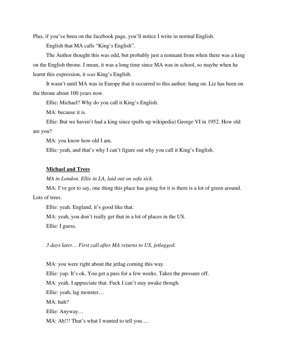Plus, if you've been on the facebook page, you'll notice I write in normal English.

English that MA calls "King's English".

The Author thought this was odd, but probably just a remnant from when there was a king on the English throne. I mean, it was a long time since MA was in school, so maybe when he learnt this expression, it *was* King's English.

It wasn't until MA was in Europe that it occurred to this author: hang on. Liz has been on the throne about 100 years now.

Ellie: Michael? Why do you call it King's English.

MA: because it is.

Ellie: But we haven't had a king since (pulls up wikipedia) George VI in 1952. How old are you?

MA: you know how old I am.

Ellie: yeah, and that's why I can't figure out why you call it King's English.

#### **Michael and Trees**

*MA in London. Ellie in LA, laid out on sofa sick.*

MA: I've got to say, one thing this place has going for it is there is a lot of green around.

Lots of trees.

Ellie: yeah. England, it's good like that.

MA: yeah, you don't really get that in a lot of places in the US. Ellie: I guess.

*3 days later… First call after MA returns to US, jetlagged.* 

MA: you were right about the jetlag coming this way. Ellie: yup. It's ok. You get a pass for a few weeks. Takes the pressure off. MA: yeah. I appreciate that. Fuck I can't stay awake though. Ellie: yeah, lag monster… MA: huh? Ellie: Anyway… MA: Ah!!! That's what I wanted to tell you....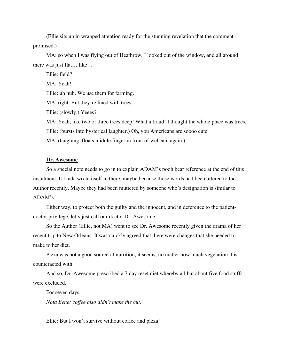(Ellie sits up in wrapped attention ready for the stunning revelation that the comment promised.)

MA: so when I was flying out of Heathrow, I looked out of the window, and all around there was just flat… like…

Ellie: field? MA: Yeah! Ellie: uh huh. We use them for farming. MA: right. But they're lined with trees. Ellie: (slowly.) Yeees? MA: Yeah, like two or three trees deep! What a fraud! I thought the whole place was trees. Ellie: (bursts into hysterical laughter.) Oh, you Americans are soooo cute. MA: (laughing, floats middle finger in front of webcam again.)

### **Dr. Awesome**

So a special note needs to go in to explain ADAM's pooh bear reference at the end of this instalment. It kinda wrote itself in there, maybe because those words had been uttered to the Author recently. Maybe they had been muttered by someone who's designation is similar to ADAM's.

Either way, to protect both the guilty and the innocent, and in deference to the patientdoctor privilege, let's just call our doctor Dr. Awesome.

So the Author (Ellie, not MA) went to see Dr. Awesome recently given the drama of her recent trip to New Orleans. It was quickly agreed that there were changes that she needed to make to her diet.

Pizza was not a good source of nutrition, it seems, no matter how much vegetation it is counteracted with.

And so, Dr. Awesome prescribed a 7 day reset diet whereby all but about five food stuffs were excluded.

For seven days.

*Nota Bene: coffee also didn't make the cut.* 

Ellie: But I won't survive without coffee and pizza!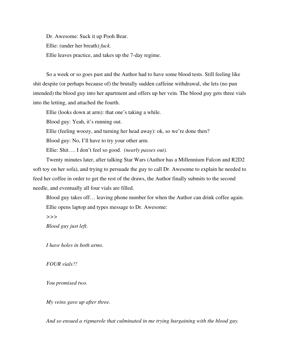Dr. Awesome: Suck it up Pooh Bear. Ellie: (under her breath) *fuck*. Ellie leaves practice, and takes up the 7-day regime.

So a week or so goes past and the Author had to have some blood tests. Still feeling like shit despite (or perhaps because of) the brutally sudden caffeine withdrawal, she lets (no pun intended) the blood guy into her apartment and offers up her vein. The blood guy gets three vials into the letting, and attached the fourth.

Ellie (looks down at arm): that one's taking a while.

Blood guy: Yeah, it's running out.

Ellie (feeling woozy, and turning her head away): ok, so we're done then?

Blood guy: No, I'll have to try your other arm.

Ellie: Shit…. I don't feel so good. *(nearly passes out).* 

Twenty minutes later, after talking Star Wars (Author has a Millennium Falcon and R2D2 soft toy on her sofa), and trying to persuade the guy to call Dr. Awesome to explain he needed to feed her coffee in order to get the rest of the draws, the Author finally submits to the second needle, and eventually all four vials are filled.

Blood guy takes off… leaving phone number for when the Author can drink coffee again. Ellie opens laptop and types message to Dr. Awesome:

*>>>* 

*Blood guy just left.* 

*I have holes in both arms.* 

*FOUR vials?!*

*You promised two.* 

*My veins gave up after three.* 

*And so ensued a rigmarole that culminated in me trying bargaining with the blood guy.*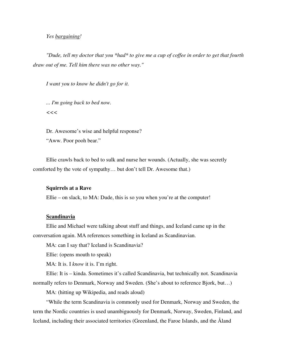#### *Yes bargaining!*

*"Dude, tell my doctor that you \*had\* to give me a cup of coffee in order to get that fourth draw out of me. Tell him there was no other way."* 

*I want you to know he didn't go for it.* 

*... I'm going back to bed now. <<<*

Dr. Awesome's wise and helpful response? "Aww. Poor pooh bear."

Ellie crawls back to bed to sulk and nurse her wounds. (Actually, she was secretly comforted by the vote of sympathy… but don't tell Dr. Awesome that.)

#### **Squirrels at a Rave**

Ellie – on slack, to MA: Dude, this is so you when you're at the computer!

#### **Scandinavia**

Ellie and Michael were talking about stuff and things, and Iceland came up in the conversation again. MA references something in Iceland as Scandinavian.

MA: can I say that? Iceland is Scandinavia?

Ellie: (opens mouth to speak)

MA: It is. I *know* it is. I'm right.

Ellie: It is – kinda. Sometimes it's called Scandinavia, but technically not. Scandinavia normally refers to Denmark, Norway and Sweden. (She's about to reference Bjork, but…)

MA: (hitting up Wikipedia, and reads aloud)

"While the term Scandinavia is commonly used for Denmark, Norway and Sweden, the term the Nordic countries is used unambiguously for Denmark, Norway, Sweden, Finland, and Iceland, including their associated territories (Greenland, the Faroe Islands, and the Åland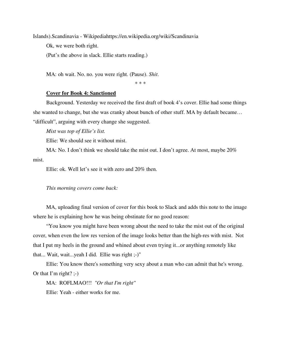Islands).Scandinavia - Wikipediahttps://en.wikipedia.org/wiki/Scandinavia Ok, we were both right. (Put's the above in slack. Ellie starts reading.)

MA: oh wait. No. no. you were right. (Pause). *Shit*.

\* \* \*

#### **Cover for Book 4: Sanctioned**

Background. Yesterday we received the first draft of book 4's cover. Ellie had some things she wanted to change, but she was cranky about bunch of other stuff. MA by default became… "difficult", arguing with every change she suggested.

*Mist was top of Ellie's list.*

Ellie: We should see it without mist.

MA: No. I don't think we should take the mist out. I don't agree. At most, maybe 20% mist.

Ellie: ok. Well let's see it with zero and 20% then.

#### *This morning covers come back:*

MA, uploading final version of cover for this book to Slack and adds this note to the image where he is explaining how he was being obstinate for no good reason:

"You know you might have been wrong about the need to take the mist out of the original cover, when even the low res version of the image looks better than the high-res with mist. Not that I put my heels in the ground and whined about even trying it...or anything remotely like that... Wait, wait...yeah I did. Ellie was right ;-)"

Ellie: You know there's something very sexy about a man who can admit that he's wrong. Or that I'm right?  $:-)$ 

MA: ROFLMAO!!! *"Or that I'm right"*

Ellie: Yeah - either works for me.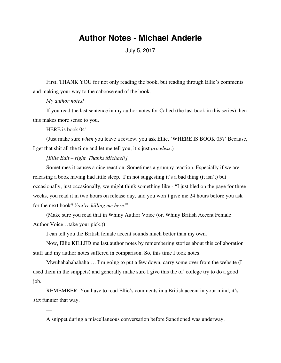# **Author Notes - Michael Anderle**

July 5, 2017

First, THANK YOU for not only reading the book, but reading through Ellie's comments and making your way to the caboose end of the book.

#### *My author notes!*

If you read the last sentence in my author notes for Called (the last book in this series) then this makes more sense to you.

#### HERE is book 04!

—

(Just make sure *when* you leave a review, you ask Ellie, 'WHERE IS BOOK 05?' Because, I get that shit all the time and let me tell you, it's just *priceless*.)

## *[Ellie Edit – right. Thanks Michael!]*

Sometimes it causes a nice reaction. Sometimes a grumpy reaction. Especially if we are releasing a book having had little sleep. I'm not suggesting it's a bad thing (it isn't) but occasionally, just occasionally, we might think something like - "I just bled on the page for three weeks, you read it in two hours on release day, and you won't give me 24 hours before you ask for the next book? *You're killing me here!*"

(Make sure you read that in Whiny Author Voice (or, Whiny British Accent Female Author Voice…take your pick.))

I can tell you the British female accent sounds much better than my own.

Now, Ellie KILLED me last author notes by remembering stories about this collaboration stuff and my author notes suffered in comparison. So, this time I took notes.

Mwuhahahahahaha…. I'm going to put a few down, carry some over from the website (I used them in the snippets) and generally make sure I give this the ol' college try to do a good job.

REMEMBER: You have to read Ellie's comments in a British accent in your mind, it's *10x* funnier that way.

A snippet during a miscellaneous conversation before Sanctioned was underway.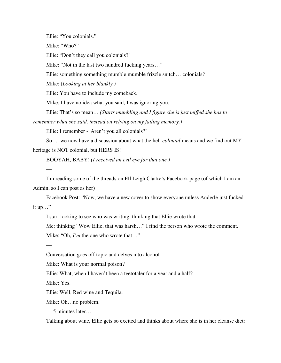Ellie: "You colonials."

Mike: "Who?"

Ellie: "Don't they call you colonials?"

Mike: "Not in the last two hundred fucking years..."

Ellie: something something mumble mumble frizzle snitch… colonials?

Mike: (*Looking at her blankly.)*

Ellie: You have to include my comeback.

Mike: I have no idea what you said, I was ignoring you.

Ellie: That's so mean… *(Starts mumbling and I figure she is just miffed she has to* 

*remember what she said, instead on relying on my failing memory.)*

Ellie: I remember - 'Aren't you all colonials?'

So…. we now have a discussion about what the hell *colonial* means and we find out MY heritage is NOT colonial, but HERS IS!

BOOYAH, BABY! *(I received an evil eye for that one.)*

I'm reading some of the threads on Ell Leigh Clarke's Facebook page (of which I am an Admin, so I can post as her)

Facebook Post: "Now, we have a new cover to show everyone unless Anderle just fucked it up…"

I start looking to see who was writing, thinking that Ellie wrote that.

Me: thinking "Wow Ellie, that was harsh…" I find the person who wrote the comment. Mike: "Oh, *I'm* the one who wrote that..."

Conversation goes off topic and delves into alcohol.

Mike: What is your normal poison?

Ellie: What, when I haven't been a teetotaler for a year and a half?

Mike: Yes.

—

—

Ellie: Well, Red wine and Tequila.

Mike: Oh…no problem.

— 5 minutes later….

Talking about wine, Ellie gets so excited and thinks about where she is in her cleanse diet: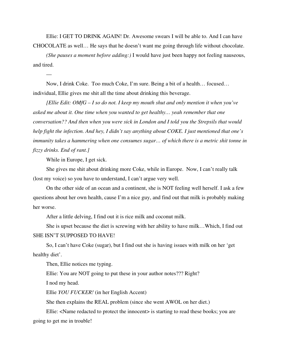Ellie: I GET TO DRINK AGAIN! Dr. Awesome swears I will be able to. And I can have CHOCOLATE as well… He says that he doesn't want me going through life without chocolate.

*(She pauses a moment before adding:)* I would have just been happy not feeling nauseous, and tired.

Now, I drink Coke. Too much Coke, I'm sure. Being a bit of a health… focused… individual, Ellie gives me shit all the time about drinking this beverage.

*[Ellie Edit: OMfG – I so do not. I keep my mouth shut and only mention it when you've asked me about it. One time when you wanted to get healthy… yeah remember that one conversation?? And then when you were sick in London and I told you the Strepsils that would help fight the infection. And hey, I didn't say anything about COKE. I just mentioned that one's immunity takes a hammering when one consumes sugar… of which there is a metric shit tonne in fizzy drinks. End of rant.]*

While in Europe, I get sick.

—

She gives me shit about drinking more Coke, while in Europe. Now, I can't really talk (lost my voice) so you have to understand, I can't argue very well.

On the other side of an ocean and a continent, she is NOT feeling well herself. I ask a few questions about her own health, cause I'm a nice guy, and find out that milk is probably making her worse.

After a little delving, I find out it is rice milk and coconut milk.

She is upset because the diet is screwing with her ability to have milk…Which, I find out SHE ISN'T SUPPOSED TO HAVE!

So, I can't have Coke (sugar), but I find out she is having issues with milk on her 'get healthy diet'.

Then, Ellie notices me typing.

Ellie: You are NOT going to put these in your author notes??? Right?

I nod my head.

Ellie *YOU FUCKER!* (in her English Accent)

She then explains the REAL problem (since she went AWOL on her diet.)

Ellie: <Name redacted to protect the innocent> is starting to read these books; you are going to get me in trouble!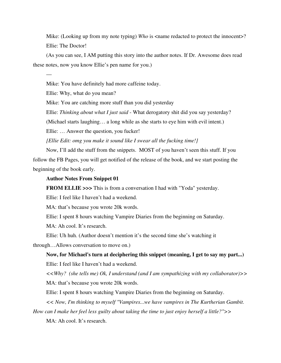Mike: (Looking up from my note typing) *Who* is <name redacted to protect the innocent>? Ellie: The Doctor!

(As you can see, I AM putting this story into the author notes. If Dr. Awesome does read these notes, now you know Ellie's pen name for you.)

Mike: You have definitely had more caffeine today.

Ellie: Why, what do you mean?

—

Mike: You are catching more stuff than you did yesterday

Ellie: *Thinking about what I just said* - What derogatory shit did you say yesterday?

(Michael starts laughing… a long while as she starts to eye him with evil intent.)

Ellie: … Answer the question, you fucker!

*[Ellie Edit: omg you make it sound like I swear all the fucking time!]*

Now, I'll add the stuff from the snippets. MOST of you haven't seen this stuff. If you follow the FB Pages, you will get notified of the release of the book, and we start posting the beginning of the book early.

#### **Author Notes From Snippet 01**

**FROM ELLIE >>>** This is from a conversation I had with "Yoda" yesterday.

Ellie: I feel like I haven't had a weekend.

MA: that's because you wrote 20k words.

Ellie: I spent 8 hours watching Vampire Diaries from the beginning on Saturday.

MA: Ah cool. It's research.

Ellie: Uh huh. (Author doesn't mention it's the second time she's watching it

through…Allows conversation to move on.)

**Now, for Michael's turn at deciphering this snippet (meaning, I get to say my part...)** Ellie: I feel like I haven't had a weekend.

*<<Why? (she tells me) Ok, I understand (and I am sympathizing with my collaborator)>>* MA: that's because you wrote 20k words.

Ellie: I spent 8 hours watching Vampire Diaries from the beginning on Saturday.

*<< Now, I'm thinking to myself "Vampires...we have vampires in The Kurtherian Gambit. How can I make her feel less guilty about taking the time to just enjoy herself a little?">>*

MA: Ah cool. It's research.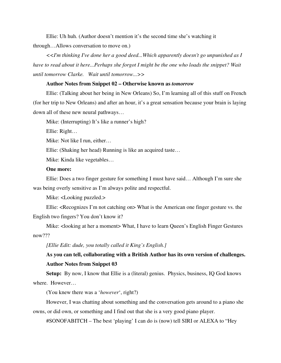Ellie: Uh huh. (Author doesn't mention it's the second time she's watching it through…Allows conversation to move on.)

*<<I'm thinking I've done her a good deed...Which apparently doesn't go unpunished as I have to read about it here...Perhaps she forgot I might be the one who loads the snippet? Wait until tomorrow Clarke. Wait until tomorrow...>>*

#### **Author Notes from Snippet 02 – Otherwise known as** *tomorrow*

Ellie: (Talking about her being in New Orleans) So, I'm learning all of this stuff on French (for her trip to New Orleans) and after an hour, it's a great sensation because your brain is laying down all of these new neural pathways…

Mike: (Interrupting) It's like a runner's high?

Ellie: Right…

Mike: Not like I run, either…

Ellie: (Shaking her head) Running is like an acquired taste…

Mike: Kinda like vegetables…

## **One more:**

Ellie: Does a two finger gesture for something I must have said… Although I'm sure she was being overly sensitive as I'm always polite and respectful.

Mike: <Looking puzzled.>

Ellie: <Recognizes I'm not catching on> What is the American one finger gesture vs. the English two fingers? You don't know it?

Mike: <looking at her a moment> What, I have to learn Queen's English Finger Gestures now???

*[Ellie Edit: dude, you totally called it King's English.]*

# **As you can tell, collaborating with a British Author has its own version of challenges. Author Notes from Snippet 03**

Setup: By now, I know that Ellie is a (literal) genius. Physics, business, IQ God knows where. However…

(You knew there was a '*however*', right?)

However, I was chatting about something and the conversation gets around to a piano she owns, or did own, or something and I find out that she is a very good piano player.

#SONOFABITCH – The best 'playing' I can do is (now) tell SIRI or ALEXA to "Hey